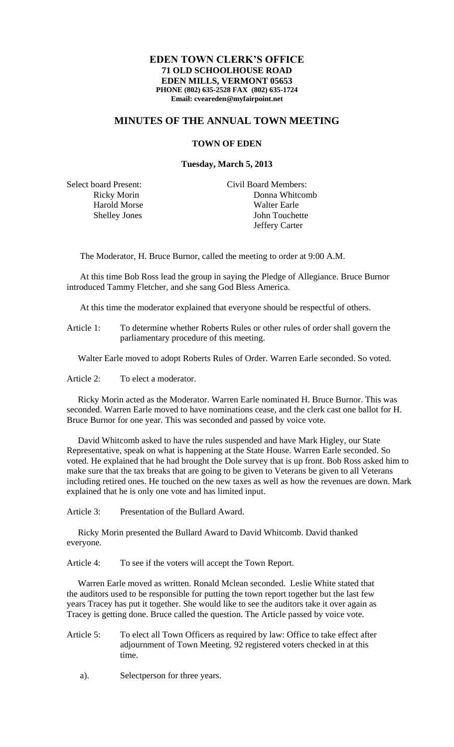## **EDEN TOWN CLERK'S OFFICE 71 OLD SCHOOLHOUSE ROAD EDEN MILLS, VERMONT 05653 PHONE (802) 635-2528 FAX (802) 635-1724 Email: cveareden@myfairpoint.net**

## **MINUTES OF THE ANNUAL TOWN MEETING**

## **TOWN OF EDEN**

## **Tuesday, March 5, 2013**

Select board Present: Civil Board Members: Ricky Morin Donna Whitcomb Harold Morse Walter Earle Shelley Jones John Touchette Jeffery Carter

The Moderator, H. Bruce Burnor, called the meeting to order at 9:00 A.M.

At this time Bob Ross lead the group in saying the Pledge of Allegiance. Bruce Burnor introduced Tammy Fletcher, and she sang God Bless America.

At this time the moderator explained that everyone should be respectful of others.

Article 1: To determine whether Roberts Rules or other rules of order shall govern the parliamentary procedure of this meeting.

Walter Earle moved to adopt Roberts Rules of Order. Warren Earle seconded. So voted.

Article 2: To elect a moderator.

 Ricky Morin acted as the Moderator. Warren Earle nominated H. Bruce Burnor. This was seconded. Warren Earle moved to have nominations cease, and the clerk cast one ballot for H. Bruce Burnor for one year. This was seconded and passed by voice vote.

 David Whitcomb asked to have the rules suspended and have Mark Higley, our State Representative, speak on what is happening at the State House. Warren Earle seconded. So voted. He explained that he had brought the Dole survey that is up front. Bob Ross asked him to make sure that the tax breaks that are going to be given to Veterans be given to all Veterans including retired ones. He touched on the new taxes as well as how the revenues are down. Mark explained that he is only one vote and has limited input.

Article 3: Presentation of the Bullard Award.

 Ricky Morin presented the Bullard Award to David Whitcomb. David thanked everyone.

Article 4: To see if the voters will accept the Town Report.

 Warren Earle moved as written. Ronald Mclean seconded. Leslie White stated that the auditors used to be responsible for putting the town report together but the last few years Tracey has put it together. She would like to see the auditors take it over again as Tracey is getting done. Bruce called the question. The Article passed by voice vote.

- Article 5: To elect all Town Officers as required by law: Office to take effect after adjournment of Town Meeting. 92 registered voters checked in at this time.
	- a). Selectperson for three years.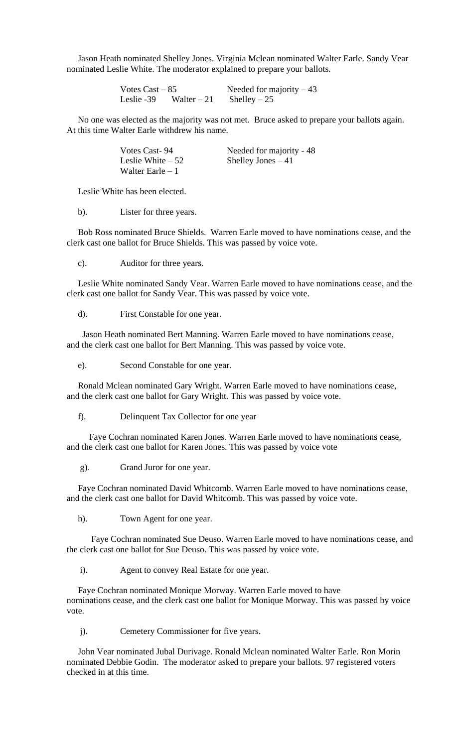Jason Heath nominated Shelley Jones. Virginia Mclean nominated Walter Earle. Sandy Vear nominated Leslie White. The moderator explained to prepare your ballots.

> Votes  $\text{Cast} - 85$  Needed for majority  $-43$ Leslie -39 Walter – 21 Shelley – 25

 No one was elected as the majority was not met. Bruce asked to prepare your ballots again. At this time Walter Earle withdrew his name.

| Votes Cast-94      | Needed for majority - 48 |
|--------------------|--------------------------|
| Leslie White $-52$ | Shelley Jones $-41$      |
| Walter Earle $-1$  |                          |

Leslie White has been elected.

b). Lister for three years.

 Bob Ross nominated Bruce Shields. Warren Earle moved to have nominations cease, and the clerk cast one ballot for Bruce Shields. This was passed by voice vote.

c). Auditor for three years.

 Leslie White nominated Sandy Vear. Warren Earle moved to have nominations cease, and the clerk cast one ballot for Sandy Vear. This was passed by voice vote.

d). First Constable for one year.

 Jason Heath nominated Bert Manning. Warren Earle moved to have nominations cease, and the clerk cast one ballot for Bert Manning. This was passed by voice vote.

e). Second Constable for one year.

 Ronald Mclean nominated Gary Wright. Warren Earle moved to have nominations cease, and the clerk cast one ballot for Gary Wright. This was passed by voice vote.

f). Delinquent Tax Collector for one year

 Faye Cochran nominated Karen Jones. Warren Earle moved to have nominations cease, and the clerk cast one ballot for Karen Jones. This was passed by voice vote

g). Grand Juror for one year.

 Faye Cochran nominated David Whitcomb. Warren Earle moved to have nominations cease, and the clerk cast one ballot for David Whitcomb. This was passed by voice vote.

h). Town Agent for one year.

 Faye Cochran nominated Sue Deuso. Warren Earle moved to have nominations cease, and the clerk cast one ballot for Sue Deuso. This was passed by voice vote.

i). Agent to convey Real Estate for one year.

 Faye Cochran nominated Monique Morway. Warren Earle moved to have nominations cease, and the clerk cast one ballot for Monique Morway. This was passed by voice vote.

j). Cemetery Commissioner for five years.

 John Vear nominated Jubal Durivage. Ronald Mclean nominated Walter Earle. Ron Morin nominated Debbie Godin. The moderator asked to prepare your ballots. 97 registered voters checked in at this time.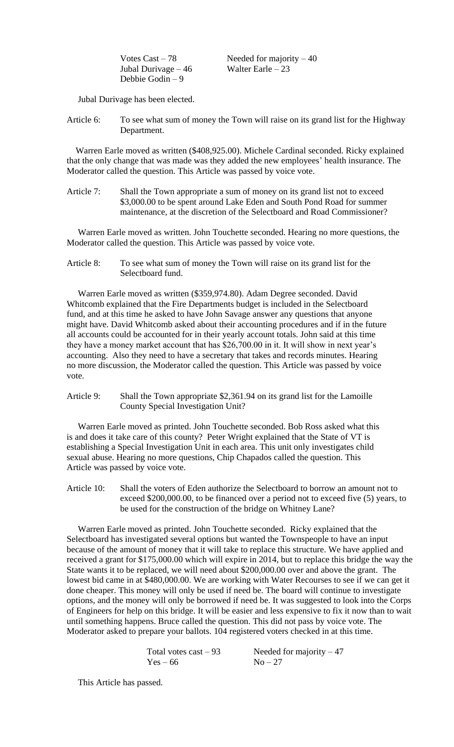Jubal Durivage – 46 Walter Earle – 23 Debbie Godin – 9

Votes  $\text{Cast} - 78$  Needed for majority  $-40$ 

Jubal Durivage has been elected.

Article 6: To see what sum of money the Town will raise on its grand list for the Highway Department.

 Warren Earle moved as written (\$408,925.00). Michele Cardinal seconded. Ricky explained that the only change that was made was they added the new employees' health insurance. The Moderator called the question. This Article was passed by voice vote.

Article 7: Shall the Town appropriate a sum of money on its grand list not to exceed \$3,000.00 to be spent around Lake Eden and South Pond Road for summer maintenance, at the discretion of the Selectboard and Road Commissioner?

 Warren Earle moved as written. John Touchette seconded. Hearing no more questions, the Moderator called the question. This Article was passed by voice vote.

Article 8: To see what sum of money the Town will raise on its grand list for the Selectboard fund.

 Warren Earle moved as written (\$359,974.80). Adam Degree seconded. David Whitcomb explained that the Fire Departments budget is included in the Selectboard fund, and at this time he asked to have John Savage answer any questions that anyone might have. David Whitcomb asked about their accounting procedures and if in the future all accounts could be accounted for in their yearly account totals. John said at this time they have a money market account that has \$26,700.00 in it. It will show in next year's accounting. Also they need to have a secretary that takes and records minutes. Hearing no more discussion, the Moderator called the question. This Article was passed by voice vote.

Article 9: Shall the Town appropriate \$2,361.94 on its grand list for the Lamoille County Special Investigation Unit?

 Warren Earle moved as printed. John Touchette seconded. Bob Ross asked what this is and does it take care of this county? Peter Wright explained that the State of VT is establishing a Special Investigation Unit in each area. This unit only investigates child sexual abuse. Hearing no more questions, Chip Chapados called the question. This Article was passed by voice vote.

Article 10: Shall the voters of Eden authorize the Selectboard to borrow an amount not to exceed \$200,000.00, to be financed over a period not to exceed five (5) years, to be used for the construction of the bridge on Whitney Lane?

 Warren Earle moved as printed. John Touchette seconded. Ricky explained that the Selectboard has investigated several options but wanted the Townspeople to have an input because of the amount of money that it will take to replace this structure. We have applied and received a grant for \$175,000.00 which will expire in 2014, but to replace this bridge the way the State wants it to be replaced, we will need about \$200,000.00 over and above the grant. The lowest bid came in at \$480,000.00. We are working with Water Recourses to see if we can get it done cheaper. This money will only be used if need be. The board will continue to investigate options, and the money will only be borrowed if need be. It was suggested to look into the Corps of Engineers for help on this bridge. It will be easier and less expensive to fix it now than to wait until something happens. Bruce called the question. This did not pass by voice vote. The Moderator asked to prepare your ballots. 104 registered voters checked in at this time.

| Total votes $cast - 93$ | Needed for majority $-47$ |
|-------------------------|---------------------------|
| $Yes-66$                | $No-27$                   |

This Article has passed.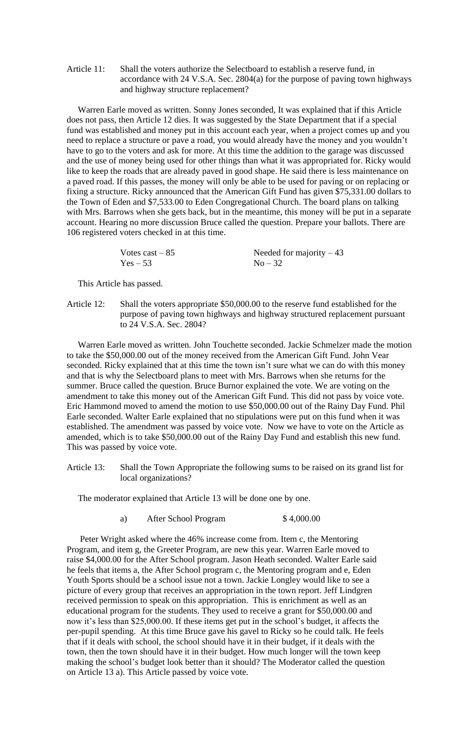Article 11: Shall the voters authorize the Selectboard to establish a reserve fund, in accordance with 24 V.S.A. Sec. 2804(a) for the purpose of paving town highways and highway structure replacement?

 Warren Earle moved as written. Sonny Jones seconded, It was explained that if this Article does not pass, then Article 12 dies. It was suggested by the State Department that if a special fund was established and money put in this account each year, when a project comes up and you need to replace a structure or pave a road, you would already have the money and you wouldn't have to go to the voters and ask for more. At this time the addition to the garage was discussed and the use of money being used for other things than what it was appropriated for. Ricky would like to keep the roads that are already paved in good shape. He said there is less maintenance on a paved road. If this passes, the money will only be able to be used for paving or on replacing or fixing a structure. Ricky announced that the American Gift Fund has given \$75,331.00 dollars to the Town of Eden and \$7,533.00 to Eden Congregational Church. The board plans on talking with Mrs. Barrows when she gets back, but in the meantime, this money will be put in a separate account. Hearing no more discussion Bruce called the question. Prepare your ballots. There are 106 registered voters checked in at this time.

| Votes cast $-85$ | Needed for majority $-43$ |
|------------------|---------------------------|
| $Yes - 53$       | $No-32$                   |

This Article has passed.

Article 12: Shall the voters appropriate \$50,000.00 to the reserve fund established for the purpose of paving town highways and highway structured replacement pursuant to 24 V.S.A. Sec. 2804?

 Warren Earle moved as written. John Touchette seconded. Jackie Schmelzer made the motion to take the \$50,000.00 out of the money received from the American Gift Fund. John Vear seconded. Ricky explained that at this time the town isn't sure what we can do with this money and that is why the Selectboard plans to meet with Mrs. Barrows when she returns for the summer. Bruce called the question. Bruce Burnor explained the vote. We are voting on the amendment to take this money out of the American Gift Fund. This did not pass by voice vote. Eric Hammond moved to amend the motion to use \$50,000.00 out of the Rainy Day Fund. Phil Earle seconded. Walter Earle explained that no stipulations were put on this fund when it was established. The amendment was passed by voice vote. Now we have to vote on the Article as amended, which is to take \$50,000.00 out of the Rainy Day Fund and establish this new fund. This was passed by voice vote.

Article 13: Shall the Town Appropriate the following sums to be raised on its grand list for local organizations?

The moderator explained that Article 13 will be done one by one.

a) After School Program  $$4,000.00$ 

Peter Wright asked where the 46% increase come from. Item c, the Mentoring Program, and item g, the Greeter Program, are new this year. Warren Earle moved to raise \$4,000.00 for the After School program. Jason Heath seconded. Walter Earle said he feels that items a, the After School program c, the Mentoring program and e, Eden Youth Sports should be a school issue not a town. Jackie Longley would like to see a picture of every group that receives an appropriation in the town report. Jeff Lindgren received permission to speak on this appropriation. This is enrichment as well as an educational program for the students. They used to receive a grant for \$50,000.00 and now it's less than \$25,000.00. If these items get put in the school's budget, it affects the per-pupil spending. At this time Bruce gave his gavel to Ricky so he could talk. He feels that if it deals with school, the school should have it in their budget, if it deals with the town, then the town should have it in their budget. How much longer will the town keep making the school's budget look better than it should? The Moderator called the question on Article 13 a). This Article passed by voice vote.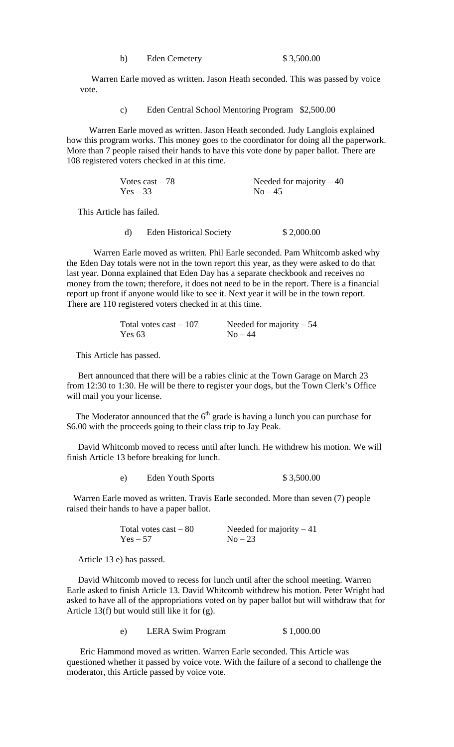| b) | <b>Eden Cemetery</b> |  |
|----|----------------------|--|
|----|----------------------|--|

 Warren Earle moved as written. Jason Heath seconded. This was passed by voice vote.

c) Eden Central School Mentoring Program \$2,500.00

 Warren Earle moved as written. Jason Heath seconded. Judy Langlois explained how this program works. This money goes to the coordinator for doing all the paperwork. More than 7 people raised their hands to have this vote done by paper ballot. There are 108 registered voters checked in at this time.

| Votes cast $-78$ | Needed for majority $-40$ |
|------------------|---------------------------|
| $Yes - 33$       | $No - 45$                 |

This Article has failed.

d) Eden Historical Society \$ 2,000.00

Warren Earle moved as written. Phil Earle seconded. Pam Whitcomb asked why the Eden Day totals were not in the town report this year, as they were asked to do that last year. Donna explained that Eden Day has a separate checkbook and receives no money from the town; therefore, it does not need to be in the report. There is a financial report up front if anyone would like to see it. Next year it will be in the town report. There are 110 registered voters checked in at this time.

| Total votes cast $-107$ | Needed for majority $-54$ |
|-------------------------|---------------------------|
| Yes 63                  | $No-44$                   |

This Article has passed.

 Bert announced that there will be a rabies clinic at the Town Garage on March 23 from 12:30 to 1:30. He will be there to register your dogs, but the Town Clerk's Office will mail you your license.

The Moderator announced that the  $6<sup>th</sup>$  grade is having a lunch you can purchase for \$6.00 with the proceeds going to their class trip to Jay Peak.

 David Whitcomb moved to recess until after lunch. He withdrew his motion. We will finish Article 13 before breaking for lunch.

| <b>Eden Youth Sports</b><br>e) | \$3,500.00 |
|--------------------------------|------------|
|--------------------------------|------------|

 Warren Earle moved as written. Travis Earle seconded. More than seven (7) people raised their hands to have a paper ballot.

> Total votes cast – 80 Needed for majority – 41<br>  $Y_{es} = 57$  No – 23  $Yes - 57$

Article 13 e) has passed.

 David Whitcomb moved to recess for lunch until after the school meeting. Warren Earle asked to finish Article 13. David Whitcomb withdrew his motion. Peter Wright had asked to have all of the appropriations voted on by paper ballot but will withdraw that for Article 13(f) but would still like it for (g).

e) LERA Swim Program \$ 1,000.00

 Eric Hammond moved as written. Warren Earle seconded. This Article was questioned whether it passed by voice vote. With the failure of a second to challenge the moderator, this Article passed by voice vote.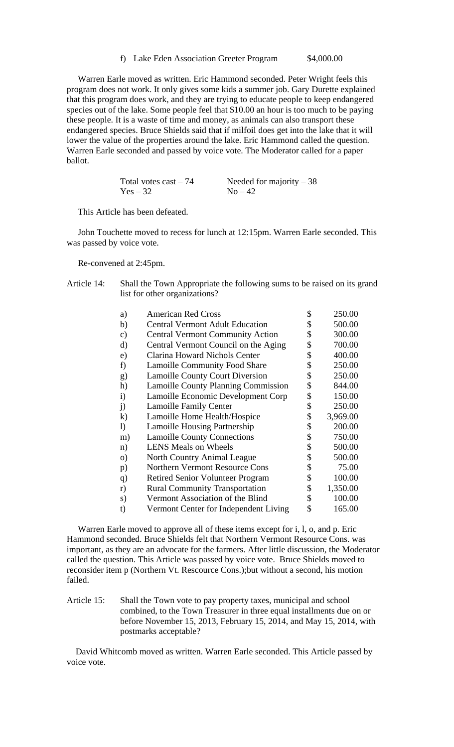f) Lake Eden Association Greeter Program \$4,000.00

 Warren Earle moved as written. Eric Hammond seconded. Peter Wright feels this program does not work. It only gives some kids a summer job. Gary Durette explained that this program does work, and they are trying to educate people to keep endangered species out of the lake. Some people feel that \$10.00 an hour is too much to be paying these people. It is a waste of time and money, as animals can also transport these endangered species. Bruce Shields said that if milfoil does get into the lake that it will lower the value of the properties around the lake. Eric Hammond called the question. Warren Earle seconded and passed by voice vote. The Moderator called for a paper ballot.

| Total votes $cast - 74$ | Needed for majority $-38$ |
|-------------------------|---------------------------|
| $Yes - 32$              | $No-42$                   |

This Article has been defeated.

 John Touchette moved to recess for lunch at 12:15pm. Warren Earle seconded. This was passed by voice vote.

Re-convened at 2:45pm.

Article 14: Shall the Town Appropriate the following sums to be raised on its grand list for other organizations?

| a)           | <b>American Red Cross</b>                  | \$<br>250.00   |
|--------------|--------------------------------------------|----------------|
| b)           | <b>Central Vermont Adult Education</b>     | \$<br>500.00   |
| c)           | <b>Central Vermont Community Action</b>    | \$<br>300.00   |
| d)           | Central Vermont Council on the Aging       | \$<br>700.00   |
| e)           | Clarina Howard Nichols Center              | \$<br>400.00   |
| f)           | <b>Lamoille Community Food Share</b>       | \$<br>250.00   |
| g)           | <b>Lamoille County Court Diversion</b>     | \$<br>250.00   |
| h)           | <b>Lamoille County Planning Commission</b> | \$<br>844.00   |
| $\mathbf{i}$ | Lamoille Economic Development Corp         | \$<br>150.00   |
| $\mathbf{j}$ | <b>Lamoille Family Center</b>              | \$<br>250.00   |
| $\bf k)$     | Lamoille Home Health/Hospice               | \$<br>3,969.00 |
| $\mathbf{I}$ | <b>Lamoille Housing Partnership</b>        | \$<br>200.00   |
| m)           | <b>Lamoille County Connections</b>         | \$<br>750.00   |
| n)           | <b>LENS Meals on Wheels</b>                | \$<br>500.00   |
| $\Omega$     | North Country Animal League                | \$<br>500.00   |
| p)           | Northern Vermont Resource Cons             | \$<br>75.00    |
| q)           | <b>Retired Senior Volunteer Program</b>    | \$<br>100.00   |
| r)           | <b>Rural Community Transportation</b>      | \$<br>1,350.00 |
| s)           | Vermont Association of the Blind           | \$<br>100.00   |
| t)           | Vermont Center for Independent Living      | \$<br>165.00   |

 Warren Earle moved to approve all of these items except for i, l, o, and p. Eric Hammond seconded. Bruce Shields felt that Northern Vermont Resource Cons. was important, as they are an advocate for the farmers. After little discussion, the Moderator called the question. This Article was passed by voice vote. Bruce Shields moved to reconsider item p (Northern Vt. Rescource Cons.);but without a second, his motion failed.

Article 15: Shall the Town vote to pay property taxes, municipal and school combined, to the Town Treasurer in three equal installments due on or before November 15, 2013, February 15, 2014, and May 15, 2014, with postmarks acceptable?

 David Whitcomb moved as written. Warren Earle seconded. This Article passed by voice vote.